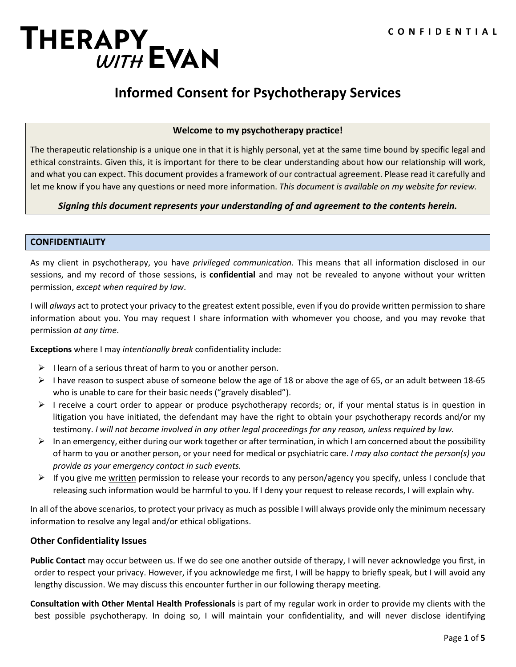# THERAPY<br>WITH EVAN

# **Informed Consent for Psychotherapy Services**

#### **Welcome to my psychotherapy practice!**

The therapeutic relationship is a unique one in that it is highly personal, yet at the same time bound by specific legal and ethical constraints. Given this, it is important for there to be clear understanding about how our relationship will work, and what you can expect. This document provides a framework of our contractual agreement. Please read it carefully and let me know if you have any questions or need more information. *This document is available on my website for review.*

## *Signing this document represents your understanding of and agreement to the contents herein.*

#### **CONFIDENTIALITY**

As my client in psychotherapy, you have *privileged communication*. This means that all information disclosed in our sessions, and my record of those sessions, is **confidential** and may not be revealed to anyone without your written permission, *except when required by law*.

I will *always* act to protect your privacy to the greatest extent possible, even if you do provide written permission to share information about you. You may request I share information with whomever you choose, and you may revoke that permission *at any time*.

**Exceptions** where I may *intentionally break* confidentiality include:

- $\triangleright$  I learn of a serious threat of harm to you or another person.
- $\triangleright$  I have reason to suspect abuse of someone below the age of 18 or above the age of 65, or an adult between 18-65 who is unable to care for their basic needs ("gravely disabled").
- $\triangleright$  I receive a court order to appear or produce psychotherapy records; or, if your mental status is in question in litigation you have initiated, the defendant may have the right to obtain your psychotherapy records and/or my testimony. *I will not become involved in any other legal proceedings for any reason, unless required by law.*
- $\triangleright$  In an emergency, either during our work together or after termination, in which I am concerned about the possibility of harm to you or another person, or your need for medical or psychiatric care. *I may also contact the person(s) you provide as your emergency contact in such events.*
- $\triangleright$  If you give me written permission to release your records to any person/agency you specify, unless I conclude that releasing such information would be harmful to you. If I deny your request to release records, I will explain why.

In all of the above scenarios, to protect your privacy as much as possible I will always provide only the minimum necessary information to resolve any legal and/or ethical obligations.

## **Other Confidentiality Issues**

**Public Contact** may occur between us. If we do see one another outside of therapy, I will never acknowledge you first, in order to respect your privacy. However, if you acknowledge me first, I will be happy to briefly speak, but I will avoid any lengthy discussion. We may discuss this encounter further in our following therapy meeting.

**Consultation with Other Mental Health Professionals** is part of my regular work in order to provide my clients with the best possible psychotherapy. In doing so, I will maintain your confidentiality, and will never disclose identifying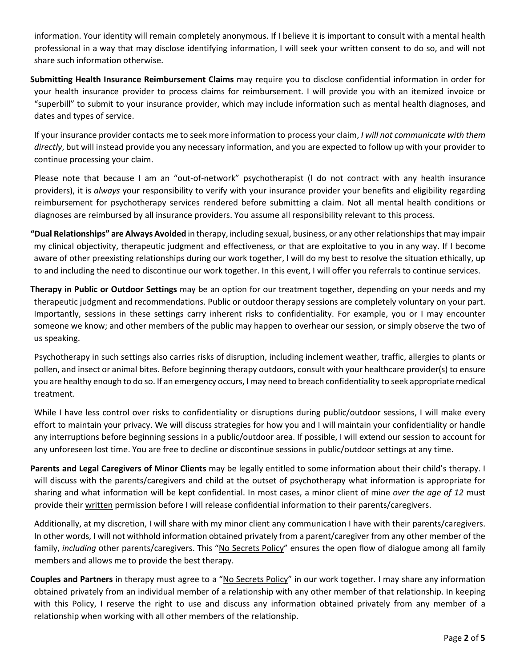information. Your identity will remain completely anonymous. If I believe it is important to consult with a mental health professional in a way that may disclose identifying information, I will seek your written consent to do so, and will not share such information otherwise.

**Submitting Health Insurance Reimbursement Claims** may require you to disclose confidential information in order for your health insurance provider to process claims for reimbursement. I will provide you with an itemized invoice or "superbill" to submit to your insurance provider, which may include information such as mental health diagnoses, and dates and types of service.

If your insurance provider contacts me to seek more information to process your claim, *I will not communicate with them directly*, but will instead provide you any necessary information, and you are expected to follow up with your provider to continue processing your claim.

Please note that because I am an "out-of-network" psychotherapist (I do not contract with any health insurance providers), it is *always* your responsibility to verify with your insurance provider your benefits and eligibility regarding reimbursement for psychotherapy services rendered before submitting a claim. Not all mental health conditions or diagnoses are reimbursed by all insurance providers. You assume all responsibility relevant to this process.

**"Dual Relationships" are Always Avoided** in therapy, including sexual, business, or any other relationships that may impair my clinical objectivity, therapeutic judgment and effectiveness, or that are exploitative to you in any way. If I become aware of other preexisting relationships during our work together, I will do my best to resolve the situation ethically, up to and including the need to discontinue our work together. In this event, I will offer you referrals to continue services.

**Therapy in Public or Outdoor Settings** may be an option for our treatment together, depending on your needs and my therapeutic judgment and recommendations. Public or outdoor therapy sessions are completely voluntary on your part. Importantly, sessions in these settings carry inherent risks to confidentiality. For example, you or I may encounter someone we know; and other members of the public may happen to overhear our session, or simply observe the two of us speaking.

Psychotherapy in such settings also carries risks of disruption, including inclement weather, traffic, allergies to plants or pollen, and insect or animal bites. Before beginning therapy outdoors, consult with your healthcare provider(s) to ensure you are healthy enough to do so. If an emergency occurs, I may need to breach confidentiality to seek appropriate medical treatment.

While I have less control over risks to confidentiality or disruptions during public/outdoor sessions, I will make every effort to maintain your privacy. We will discuss strategies for how you and I will maintain your confidentiality or handle any interruptions before beginning sessions in a public/outdoor area. If possible, I will extend our session to account for any unforeseen lost time. You are free to decline or discontinue sessions in public/outdoor settings at any time.

**Parents and Legal Caregivers of Minor Clients** may be legally entitled to some information about their child's therapy. I will discuss with the parents/caregivers and child at the outset of psychotherapy what information is appropriate for sharing and what information will be kept confidential. In most cases, a minor client of mine *over the age of 12* must provide their written permission before I will release confidential information to their parents/caregivers.

Additionally, at my discretion, I will share with my minor client any communication I have with their parents/caregivers. In other words, I will not withhold information obtained privately from a parent/caregiver from any other member of the family, *including* other parents/caregivers. This "No Secrets Policy" ensures the open flow of dialogue among all family members and allows me to provide the best therapy.

**Couples and Partners** in therapy must agree to a "No Secrets Policy" in our work together. I may share any information obtained privately from an individual member of a relationship with any other member of that relationship. In keeping with this Policy, I reserve the right to use and discuss any information obtained privately from any member of a relationship when working with all other members of the relationship.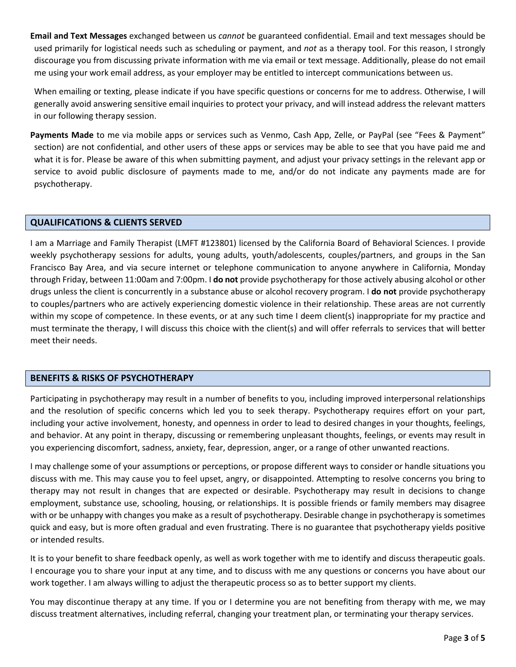**Email and Text Messages** exchanged between us *cannot* be guaranteed confidential. Email and text messages should be used primarily for logistical needs such as scheduling or payment, and *not* as a therapy tool. For this reason, I strongly discourage you from discussing private information with me via email or text message. Additionally, please do not email me using your work email address, as your employer may be entitled to intercept communications between us.

When emailing or texting, please indicate if you have specific questions or concerns for me to address. Otherwise, I will generally avoid answering sensitive email inquiries to protect your privacy, and will instead address the relevant matters in our following therapy session.

**Payments Made** to me via mobile apps or services such as Venmo, Cash App, Zelle, or PayPal (see "Fees & Payment" section) are not confidential, and other users of these apps or services may be able to see that you have paid me and what it is for. Please be aware of this when submitting payment, and adjust your privacy settings in the relevant app or service to avoid public disclosure of payments made to me, and/or do not indicate any payments made are for psychotherapy.

## **QUALIFICATIONS & CLIENTS SERVED**

I am a Marriage and Family Therapist (LMFT #123801) licensed by the California Board of Behavioral Sciences. I provide weekly psychotherapy sessions for adults, young adults, youth/adolescents, couples/partners, and groups in the San Francisco Bay Area, and via secure internet or telephone communication to anyone anywhere in California, Monday through Friday, between 11:00am and 7:00pm. I **do not** provide psychotherapy for those actively abusing alcohol or other drugs unless the client is concurrently in a substance abuse or alcohol recovery program. I **do not** provide psychotherapy to couples/partners who are actively experiencing domestic violence in their relationship. These areas are not currently within my scope of competence. In these events, or at any such time I deem client(s) inappropriate for my practice and must terminate the therapy, I will discuss this choice with the client(s) and will offer referrals to services that will better meet their needs.

## **BENEFITS & RISKS OF PSYCHOTHERAPY**

Participating in psychotherapy may result in a number of benefits to you, including improved interpersonal relationships and the resolution of specific concerns which led you to seek therapy. Psychotherapy requires effort on your part, including your active involvement, honesty, and openness in order to lead to desired changes in your thoughts, feelings, and behavior. At any point in therapy, discussing or remembering unpleasant thoughts, feelings, or events may result in you experiencing discomfort, sadness, anxiety, fear, depression, anger, or a range of other unwanted reactions.

I may challenge some of your assumptions or perceptions, or propose different ways to consider or handle situations you discuss with me. This may cause you to feel upset, angry, or disappointed. Attempting to resolve concerns you bring to therapy may not result in changes that are expected or desirable. Psychotherapy may result in decisions to change employment, substance use, schooling, housing, or relationships. It is possible friends or family members may disagree with or be unhappy with changes you make as a result of psychotherapy. Desirable change in psychotherapy is sometimes quick and easy, but is more often gradual and even frustrating. There is no guarantee that psychotherapy yields positive or intended results.

It is to your benefit to share feedback openly, as well as work together with me to identify and discuss therapeutic goals. I encourage you to share your input at any time, and to discuss with me any questions or concerns you have about our work together. I am always willing to adjust the therapeutic process so as to better support my clients.

You may discontinue therapy at any time. If you or I determine you are not benefiting from therapy with me, we may discuss treatment alternatives, including referral, changing your treatment plan, or terminating your therapy services.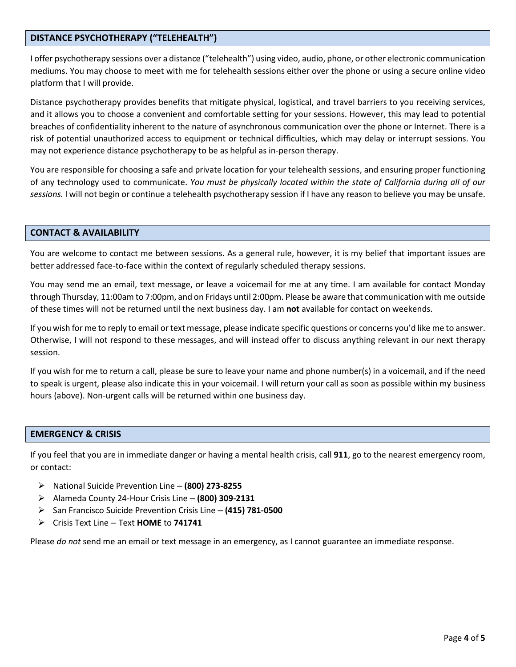#### **DISTANCE PSYCHOTHERAPY ("TELEHEALTH")**

I offer psychotherapy sessions over a distance ("telehealth") using video, audio, phone, or other electronic communication mediums. You may choose to meet with me for telehealth sessions either over the phone or using a secure online video platform that I will provide.

Distance psychotherapy provides benefits that mitigate physical, logistical, and travel barriers to you receiving services, and it allows you to choose a convenient and comfortable setting for your sessions. However, this may lead to potential breaches of confidentiality inherent to the nature of asynchronous communication over the phone or Internet. There is a risk of potential unauthorized access to equipment or technical difficulties, which may delay or interrupt sessions. You may not experience distance psychotherapy to be as helpful as in-person therapy.

You are responsible for choosing a safe and private location for your telehealth sessions, and ensuring proper functioning of any technology used to communicate. *You must be physically located within the state of California during all of our sessions.* I will not begin or continue a telehealth psychotherapy session if I have any reason to believe you may be unsafe.

#### **CONTACT & AVAILABILITY**

You are welcome to contact me between sessions. As a general rule, however, it is my belief that important issues are better addressed face-to-face within the context of regularly scheduled therapy sessions.

You may send me an email, text message, or leave a voicemail for me at any time. I am available for contact Monday through Thursday, 11:00am to 7:00pm, and on Fridays until 2:00pm. Please be aware that communication with me outside of these times will not be returned until the next business day. I am **not** available for contact on weekends.

If you wish for me to reply to email or text message, please indicate specific questions or concerns you'd like me to answer. Otherwise, I will not respond to these messages, and will instead offer to discuss anything relevant in our next therapy session.

If you wish for me to return a call, please be sure to leave your name and phone number(s) in a voicemail, and if the need to speak is urgent, please also indicate this in your voicemail. I will return your call as soon as possible within my business hours (above). Non-urgent calls will be returned within one business day.

#### **EMERGENCY & CRISIS**

If you feel that you are in immediate danger or having a mental health crisis, call **911**, go to the nearest emergency room, or contact:

- National Suicide Prevention Line **(800) 273-8255**
- Alameda County 24-Hour Crisis Line **(800) 309-2131**
- San Francisco Suicide Prevention Crisis Line **(415) 781-0500**
- Crisis Text Line Text **HOME** to **741741**

Please *do not* send me an email or text message in an emergency, as I cannot guarantee an immediate response.